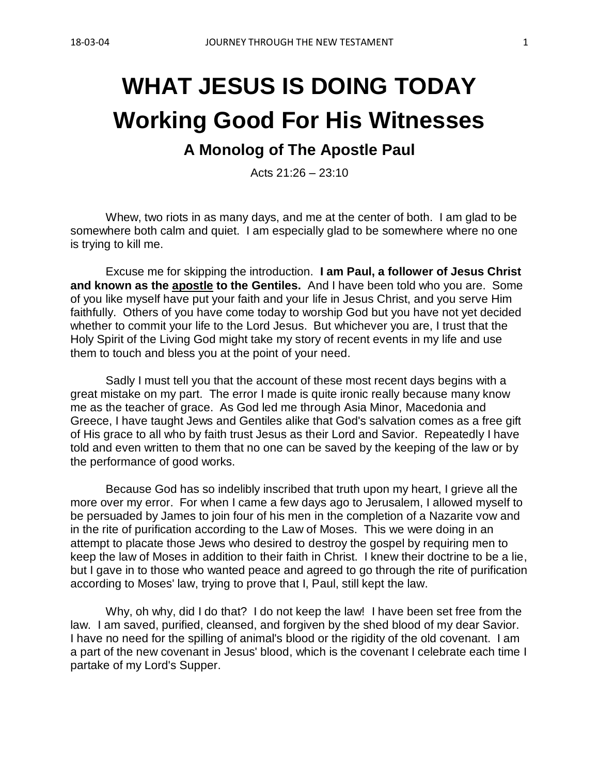# **WHAT JESUS IS DOING TODAY Working Good For His Witnesses**

# **A Monolog of The Apostle Paul**

Acts 21:26 – 23:10

Whew, two riots in as many days, and me at the center of both. I am glad to be somewhere both calm and quiet. I am especially glad to be somewhere where no one is trying to kill me.

Excuse me for skipping the introduction. **I am Paul, a follower of Jesus Christ and known as the apostle to the Gentiles.** And I have been told who you are. Some of you like myself have put your faith and your life in Jesus Christ, and you serve Him faithfully. Others of you have come today to worship God but you have not yet decided whether to commit your life to the Lord Jesus. But whichever you are, I trust that the Holy Spirit of the Living God might take my story of recent events in my life and use them to touch and bless you at the point of your need.

Sadly I must tell you that the account of these most recent days begins with a great mistake on my part. The error I made is quite ironic really because many know me as the teacher of grace. As God led me through Asia Minor, Macedonia and Greece, I have taught Jews and Gentiles alike that God's salvation comes as a free gift of His grace to all who by faith trust Jesus as their Lord and Savior. Repeatedly I have told and even written to them that no one can be saved by the keeping of the law or by the performance of good works.

Because God has so indelibly inscribed that truth upon my heart, I grieve all the more over my error. For when I came a few days ago to Jerusalem, I allowed myself to be persuaded by James to join four of his men in the completion of a Nazarite vow and in the rite of purification according to the Law of Moses. This we were doing in an attempt to placate those Jews who desired to destroy the gospel by requiring men to keep the law of Moses in addition to their faith in Christ. I knew their doctrine to be a lie, but I gave in to those who wanted peace and agreed to go through the rite of purification according to Moses' law, trying to prove that I, Paul, still kept the law.

Why, oh why, did I do that? I do not keep the law! I have been set free from the law. I am saved, purified, cleansed, and forgiven by the shed blood of my dear Savior. I have no need for the spilling of animal's blood or the rigidity of the old covenant. I am a part of the new covenant in Jesus' blood, which is the covenant I celebrate each time I partake of my Lord's Supper.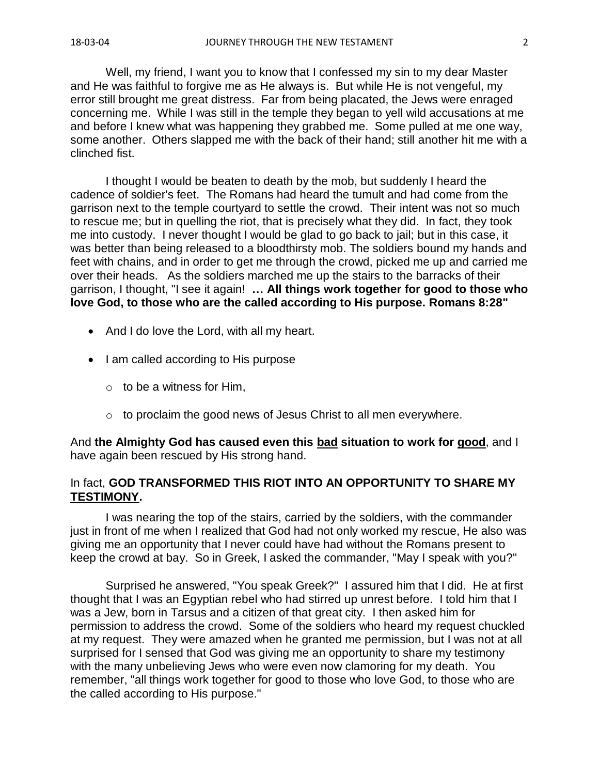Well, my friend, I want you to know that I confessed my sin to my dear Master and He was faithful to forgive me as He always is. But while He is not vengeful, my error still brought me great distress. Far from being placated, the Jews were enraged concerning me. While I was still in the temple they began to yell wild accusations at me and before I knew what was happening they grabbed me. Some pulled at me one way, some another. Others slapped me with the back of their hand; still another hit me with a clinched fist.

I thought I would be beaten to death by the mob, but suddenly I heard the cadence of soldier's feet. The Romans had heard the tumult and had come from the garrison next to the temple courtyard to settle the crowd. Their intent was not so much to rescue me; but in quelling the riot, that is precisely what they did. In fact, they took me into custody. I never thought I would be glad to go back to jail; but in this case, it was better than being released to a bloodthirsty mob. The soldiers bound my hands and feet with chains, and in order to get me through the crowd, picked me up and carried me over their heads. As the soldiers marched me up the stairs to the barracks of their garrison, I thought, "I see it again! **… All things work together for good to those who love God, to those who are the called according to His purpose. Romans 8:28"**

- And I do love the Lord, with all my heart.
- I am called according to His purpose
	- $\circ$  to be a witness for Him,
	- $\circ$  to proclaim the good news of Jesus Christ to all men everywhere.

And **the Almighty God has caused even this bad situation to work for good**, and I have again been rescued by His strong hand.

## In fact, **GOD TRANSFORMED THIS RIOT INTO AN OPPORTUNITY TO SHARE MY TESTIMONY.**

I was nearing the top of the stairs, carried by the soldiers, with the commander just in front of me when I realized that God had not only worked my rescue, He also was giving me an opportunity that I never could have had without the Romans present to keep the crowd at bay. So in Greek, I asked the commander, "May I speak with you?"

Surprised he answered, "You speak Greek?" I assured him that I did. He at first thought that I was an Egyptian rebel who had stirred up unrest before. I told him that I was a Jew, born in Tarsus and a citizen of that great city. I then asked him for permission to address the crowd. Some of the soldiers who heard my request chuckled at my request. They were amazed when he granted me permission, but I was not at all surprised for I sensed that God was giving me an opportunity to share my testimony with the many unbelieving Jews who were even now clamoring for my death. You remember, "all things work together for good to those who love God, to those who are the called according to His purpose."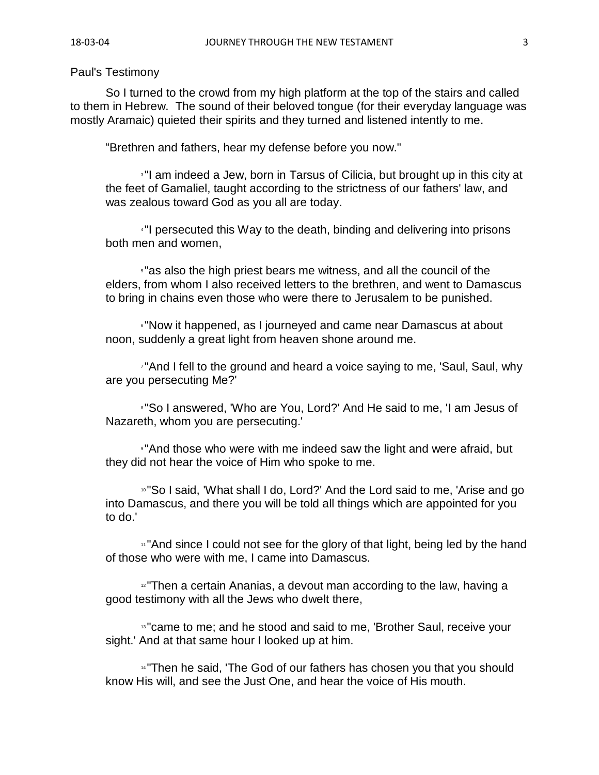#### Paul's Testimony

So I turned to the crowd from my high platform at the top of the stairs and called to them in Hebrew. The sound of their beloved tongue (for their everyday language was mostly Aramaic) quieted their spirits and they turned and listened intently to me.

"Brethren and fathers, hear my defense before you now."

<sup>3</sup>"I am indeed a Jew, born in Tarsus of Cilicia, but brought up in this city at the feet of Gamaliel, taught according to the strictness of our fathers' law, and was zealous toward God as you all are today.

<sup>4</sup>"I persecuted this Way to the death, binding and delivering into prisons both men and women,

 $5$ "as also the high priest bears me witness, and all the council of the elders, from whom I also received letters to the brethren, and went to Damascus to bring in chains even those who were there to Jerusalem to be punished.

<sup>6</sup>"Now it happened, as I journeyed and came near Damascus at about noon, suddenly a great light from heaven shone around me.

<sup>7</sup> "And I fell to the ground and heard a voice saying to me, 'Saul, Saul, why are you persecuting Me?'

**8**"So I answered, 'Who are You, Lord?' And He said to me, 'I am Jesus of Nazareth, whom you are persecuting.'

<sup>9</sup>"And those who were with me indeed saw the light and were afraid, but they did not hear the voice of Him who spoke to me.

<sup>10</sup>"So I said, 'What shall I do, Lord?' And the Lord said to me, 'Arise and go into Damascus, and there you will be told all things which are appointed for you to do.'

<sup>11</sup>"And since I could not see for the glory of that light, being led by the hand of those who were with me, I came into Damascus.

<sup>12</sup> Then a certain Ananias, a devout man according to the law, having a good testimony with all the Jews who dwelt there,

<sup>13</sup> came to me; and he stood and said to me, 'Brother Saul, receive your sight.' And at that same hour I looked up at him.

14"Then he said, 'The God of our fathers has chosen you that you should know His will, and see the Just One, and hear the voice of His mouth.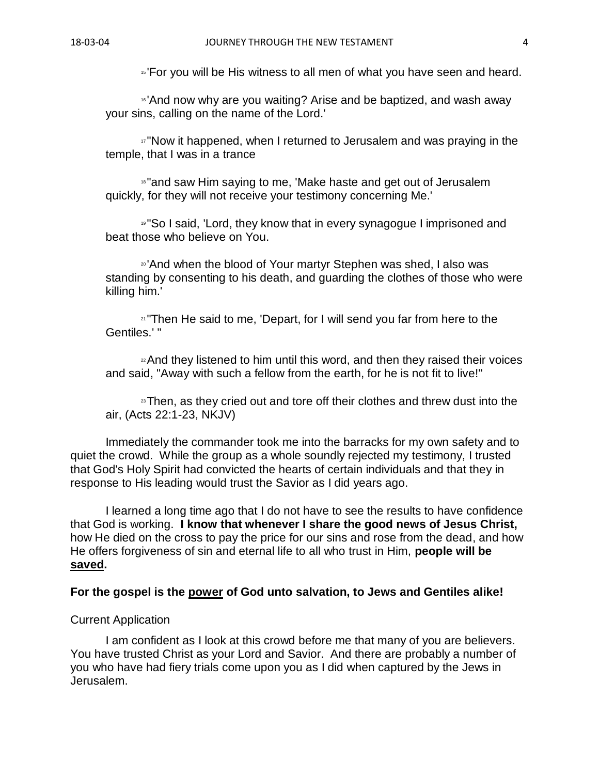<sup>15</sup>'For you will be His witness to all men of what you have seen and heard.

<sup>16</sup>'And now why are you waiting? Arise and be baptized, and wash away your sins, calling on the name of the Lord.'

<sup>17</sup>"Now it happened, when I returned to Jerusalem and was praying in the temple, that I was in a trance

18" and saw Him saying to me, 'Make haste and get out of Jerusalem quickly, for they will not receive your testimony concerning Me.'

<sup>19</sup> "So I said, 'Lord, they know that in every synagogue I imprisoned and beat those who believe on You.

<sup>20</sup>'And when the blood of Your martyr Stephen was shed, I also was standing by consenting to his death, and guarding the clothes of those who were killing him.'

21"Then He said to me, 'Depart, for I will send you far from here to the Gentiles.' "

<sup>22</sup> And they listened to him until this word, and then they raised their voices and said, "Away with such a fellow from the earth, for he is not fit to live!"

<sup>23</sup>Then, as they cried out and tore off their clothes and threw dust into the air, (Acts 22:1-23, NKJV)

Immediately the commander took me into the barracks for my own safety and to quiet the crowd. While the group as a whole soundly rejected my testimony, I trusted that God's Holy Spirit had convicted the hearts of certain individuals and that they in response to His leading would trust the Savior as I did years ago.

I learned a long time ago that I do not have to see the results to have confidence that God is working. **I know that whenever I share the good news of Jesus Christ,** how He died on the cross to pay the price for our sins and rose from the dead, and how He offers forgiveness of sin and eternal life to all who trust in Him, **people will be saved.** 

## **For the gospel is the power of God unto salvation, to Jews and Gentiles alike!**

#### Current Application

I am confident as I look at this crowd before me that many of you are believers. You have trusted Christ as your Lord and Savior. And there are probably a number of you who have had fiery trials come upon you as I did when captured by the Jews in Jerusalem.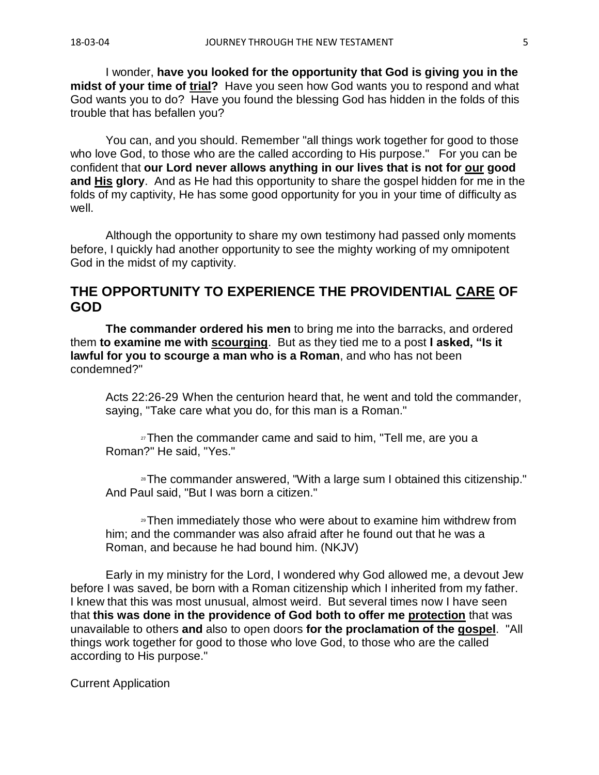I wonder, **have you looked for the opportunity that God is giving you in the midst of your time of trial?** Have you seen how God wants you to respond and what God wants you to do? Have you found the blessing God has hidden in the folds of this trouble that has befallen you?

You can, and you should. Remember "all things work together for good to those who love God, to those who are the called according to His purpose." For you can be confident that **our Lord never allows anything in our lives that is not for our good and His glory**. And as He had this opportunity to share the gospel hidden for me in the folds of my captivity, He has some good opportunity for you in your time of difficulty as well.

Although the opportunity to share my own testimony had passed only moments before, I quickly had another opportunity to see the mighty working of my omnipotent God in the midst of my captivity.

## **THE OPPORTUNITY TO EXPERIENCE THE PROVIDENTIAL CARE OF GOD**

**The commander ordered his men** to bring me into the barracks, and ordered them **to examine me with scourging**. But as they tied me to a post **I asked, "Is it lawful for you to scourge a man who is a Roman**, and who has not been condemned?"

Acts 22:26-29 When the centurion heard that, he went and told the commander, saying, "Take care what you do, for this man is a Roman."

<sup>27</sup>Then the commander came and said to him, "Tell me, are you a Roman?" He said, "Yes."

<sup>28</sup>The commander answered, "With a large sum I obtained this citizenship." And Paul said, "But I was born a citizen."

<sup>29</sup>Then immediately those who were about to examine him withdrew from him; and the commander was also afraid after he found out that he was a Roman, and because he had bound him. (NKJV)

Early in my ministry for the Lord, I wondered why God allowed me, a devout Jew before I was saved, be born with a Roman citizenship which I inherited from my father. I knew that this was most unusual, almost weird. But several times now I have seen that **this was done in the providence of God both to offer me protection** that was unavailable to others **and** also to open doors **for the proclamation of the gospel**. "All things work together for good to those who love God, to those who are the called according to His purpose."

Current Application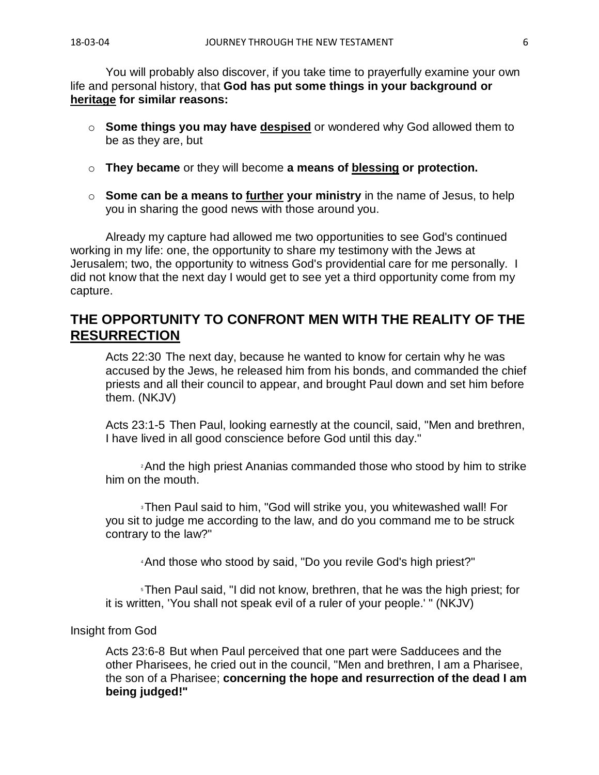You will probably also discover, if you take time to prayerfully examine your own life and personal history, that **God has put some things in your background or heritage for similar reasons:** 

- o **Some things you may have despised** or wondered why God allowed them to be as they are, but
- o **They became** or they will become **a means of blessing or protection.**
- o **Some can be a means to further your ministry** in the name of Jesus, to help you in sharing the good news with those around you.

Already my capture had allowed me two opportunities to see God's continued working in my life: one, the opportunity to share my testimony with the Jews at Jerusalem; two, the opportunity to witness God's providential care for me personally. I did not know that the next day I would get to see yet a third opportunity come from my capture.

## **THE OPPORTUNITY TO CONFRONT MEN WITH THE REALITY OF THE RESURRECTION**

Acts 22:30 The next day, because he wanted to know for certain why he was accused by the Jews, he released him from his bonds, and commanded the chief priests and all their council to appear, and brought Paul down and set him before them. (NKJV)

Acts 23:1-5 Then Paul, looking earnestly at the council, said, "Men and brethren, I have lived in all good conscience before God until this day."

<sup>2</sup>And the high priest Ananias commanded those who stood by him to strike him on the mouth.

<sup>3</sup>Then Paul said to him, "God will strike you, you whitewashed wall! For you sit to judge me according to the law, and do you command me to be struck contrary to the law?"

<sup>4</sup>And those who stood by said, "Do you revile God's high priest?"

<sup>5</sup>Then Paul said, "I did not know, brethren, that he was the high priest; for it is written, 'You shall not speak evil of a ruler of your people.' " (NKJV)

### Insight from God

Acts 23:6-8 But when Paul perceived that one part were Sadducees and the other Pharisees, he cried out in the council, "Men and brethren, I am a Pharisee, the son of a Pharisee; **concerning the hope and resurrection of the dead I am being judged!"**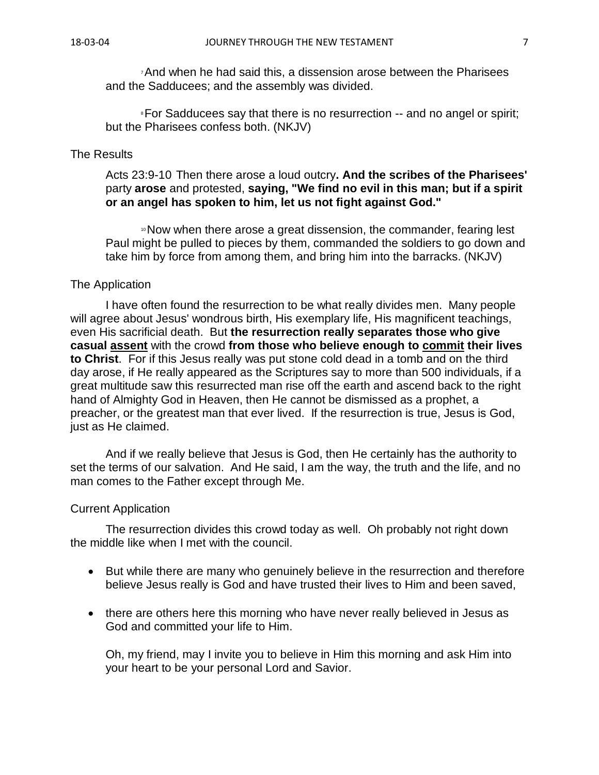<sup>7</sup>And when he had said this, a dissension arose between the Pharisees and the Sadducees; and the assembly was divided.

**For Sadducees say that there is no resurrection -- and no angel or spirit;** but the Pharisees confess both. (NKJV)

## The Results

Acts 23:9-10 Then there arose a loud outcry**. And the scribes of the Pharisees'** party **arose** and protested, **saying, "We find no evil in this man; but if a spirit or an angel has spoken to him, let us not fight against God."**

<sup>10</sup> Now when there arose a great dissension, the commander, fearing lest Paul might be pulled to pieces by them, commanded the soldiers to go down and take him by force from among them, and bring him into the barracks. (NKJV)

### The Application

I have often found the resurrection to be what really divides men. Many people will agree about Jesus' wondrous birth, His exemplary life, His magnificent teachings, even His sacrificial death. But **the resurrection really separates those who give casual assent** with the crowd **from those who believe enough to commit their lives to Christ**. For if this Jesus really was put stone cold dead in a tomb and on the third day arose, if He really appeared as the Scriptures say to more than 500 individuals, if a great multitude saw this resurrected man rise off the earth and ascend back to the right hand of Almighty God in Heaven, then He cannot be dismissed as a prophet, a preacher, or the greatest man that ever lived. If the resurrection is true, Jesus is God, just as He claimed.

And if we really believe that Jesus is God, then He certainly has the authority to set the terms of our salvation. And He said, I am the way, the truth and the life, and no man comes to the Father except through Me.

#### Current Application

The resurrection divides this crowd today as well. Oh probably not right down the middle like when I met with the council.

- But while there are many who genuinely believe in the resurrection and therefore believe Jesus really is God and have trusted their lives to Him and been saved,
- there are others here this morning who have never really believed in Jesus as God and committed your life to Him.

Oh, my friend, may I invite you to believe in Him this morning and ask Him into your heart to be your personal Lord and Savior.